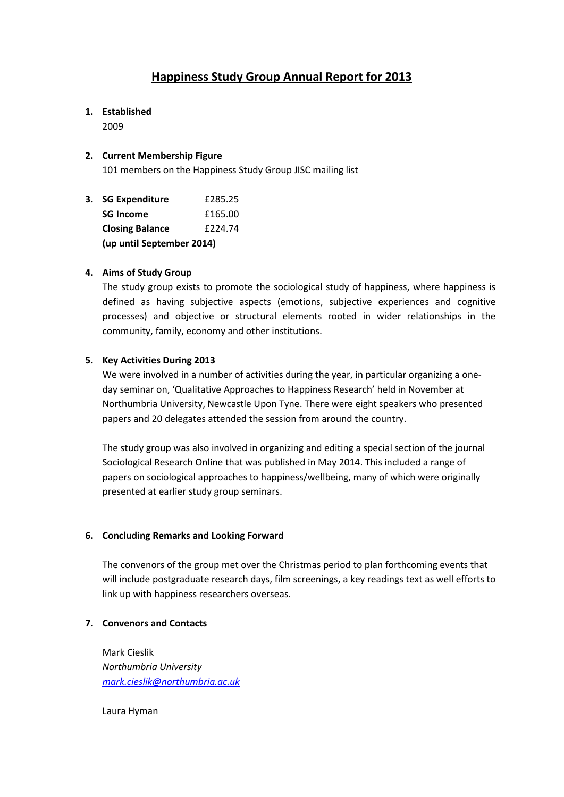# **Happiness Study Group Annual Report for 2013**

## **1. Established**

2009

## **2. Current Membership Figure**

101 members on the Happiness Study Group JISC mailing list

**3. SG Expenditure** £285.25 **SG Income** £165.00 **Closing Balance** £224.74 **(up until September 2014)**

## **4. Aims of Study Group**

The study group exists to promote the sociological study of happiness, where happiness is defined as having subjective aspects (emotions, subjective experiences and cognitive processes) and objective or structural elements rooted in wider relationships in the community, family, economy and other institutions.

## **5. Key Activities During 2013**

We were involved in a number of activities during the year, in particular organizing a oneday seminar on, 'Qualitative Approaches to Happiness Research' held in November at Northumbria University, Newcastle Upon Tyne. There were eight speakers who presented papers and 20 delegates attended the session from around the country.

The study group was also involved in organizing and editing a special section of the journal Sociological Research Online that was published in May 2014. This included a range of papers on sociological approaches to happiness/wellbeing, many of which were originally presented at earlier study group seminars.

#### **6. Concluding Remarks and Looking Forward**

The convenors of the group met over the Christmas period to plan forthcoming events that will include postgraduate research days, film screenings, a key readings text as well efforts to link up with happiness researchers overseas.

#### **7. Convenors and Contacts**

Mark Cieslik *Northumbria University [mark.cieslik@northumbria.ac.uk](mailto:mark.cieslik@northumbria.ac.uk)*

Laura Hyman